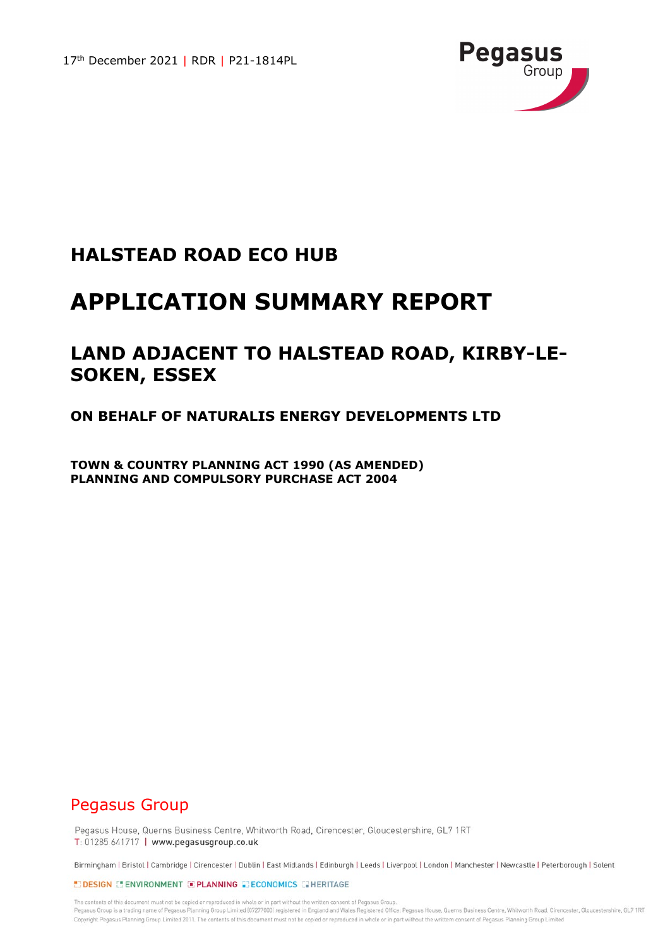

### **HALSTEAD ROAD ECO HUB**

# **APPLICATION SUMMARY REPORT**

## **LAND ADJACENT TO HALSTEAD ROAD, KIRBY-LE-SOKEN, ESSEX**

### **ON BEHALF OF NATURALIS ENERGY DEVELOPMENTS LTD**

**TOWN & COUNTRY PLANNING ACT 1990 (AS AMENDED) PLANNING AND COMPULSORY PURCHASE ACT 2004**

### Pegasus Group

Pegasus House, Querns Business Centre, Whitworth Road, Cirencester, Gloucestershire, GL7 1RT T: 01285 641717 | www.pegasusgroup.co.uk

Birmingham | Bristol | Cambridge | Cirencester | Dublin | East Midlands | Edinburgh | Leeds | Liverpool | London | Manchester | Newcastle | Peterborough | Solent

#### EDESIGN E ENVIRONMENT E PLANNING E ECONOMICS E HERITAGE

The contents of this document must not be copied or reproduced in whole or in part without the written consent of Pegasus Group Pegasus Group is a trading name of Pegasus Planning Group Limited (07277000) registered in England and Wales Registered Office: Pegasus House, Querns Business Centre, Whitworth Road, Cirencester, Gloucestershire, GL7 1RT Copyright Pegasus Planning Group Limited 2011. The contents of this document must not be copied or reproduced in whole or in part without the writtem consent of Pegasus Planning Group Limited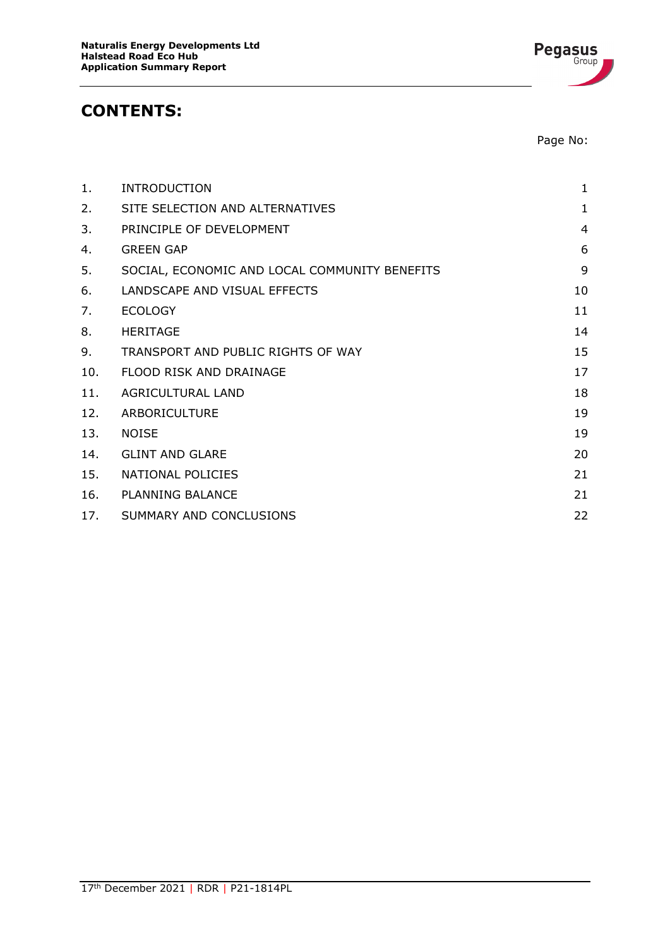### **CONTENTS:**

Page No:

| 1.  | <b>INTRODUCTION</b>                           | 1              |
|-----|-----------------------------------------------|----------------|
| 2.  | SITE SELECTION AND ALTERNATIVES               | $\mathbf{1}$   |
| 3.  | PRINCIPLE OF DEVELOPMENT                      | $\overline{4}$ |
| 4.  | <b>GREEN GAP</b>                              | 6              |
| 5.  | SOCIAL, ECONOMIC AND LOCAL COMMUNITY BENEFITS | 9              |
| 6.  | LANDSCAPE AND VISUAL EFFECTS                  | 10             |
| 7.  | <b>ECOLOGY</b>                                | 11             |
| 8.  | <b>HERITAGE</b>                               | 14             |
| 9.  | TRANSPORT AND PUBLIC RIGHTS OF WAY            | 15             |
| 10. | FLOOD RISK AND DRAINAGE                       | 17             |
| 11. | <b>AGRICULTURAL LAND</b>                      | 18             |
| 12. | ARBORICULTURE                                 | 19             |
| 13. | <b>NOISE</b>                                  | 19             |
| 14. | <b>GLINT AND GLARE</b>                        | 20             |
| 15. | NATIONAL POLICIES                             | 21             |
| 16. | <b>PLANNING BALANCE</b>                       | 21             |
| 17. | SUMMARY AND CONCLUSIONS                       | 22             |

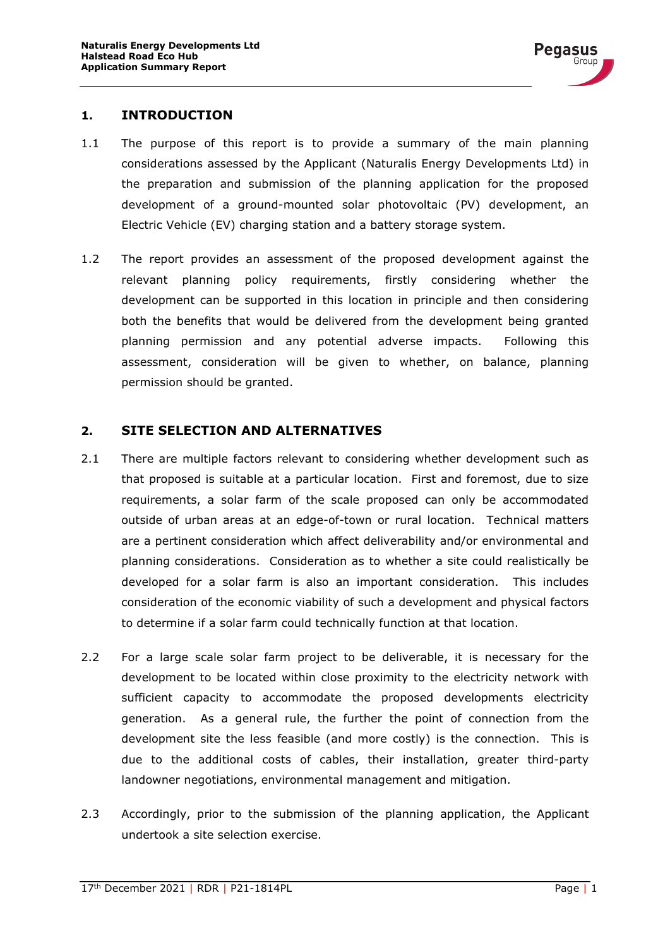

#### <span id="page-2-0"></span>**1. INTRODUCTION**

- 1.1 The purpose of this report is to provide a summary of the main planning considerations assessed by the Applicant (Naturalis Energy Developments Ltd) in the preparation and submission of the planning application for the proposed development of a ground-mounted solar photovoltaic (PV) development, an Electric Vehicle (EV) charging station and a battery storage system.
- 1.2 The report provides an assessment of the proposed development against the relevant planning policy requirements, firstly considering whether the development can be supported in this location in principle and then considering both the benefits that would be delivered from the development being granted planning permission and any potential adverse impacts. Following this assessment, consideration will be given to whether, on balance, planning permission should be granted.

#### <span id="page-2-1"></span>**2. SITE SELECTION AND ALTERNATIVES**

- 2.1 There are multiple factors relevant to considering whether development such as that proposed is suitable at a particular location. First and foremost, due to size requirements, a solar farm of the scale proposed can only be accommodated outside of urban areas at an edge-of-town or rural location. Technical matters are a pertinent consideration which affect deliverability and/or environmental and planning considerations. Consideration as to whether a site could realistically be developed for a solar farm is also an important consideration. This includes consideration of the economic viability of such a development and physical factors to determine if a solar farm could technically function at that location.
- 2.2 For a large scale solar farm project to be deliverable, it is necessary for the development to be located within close proximity to the electricity network with sufficient capacity to accommodate the proposed developments electricity generation. As a general rule, the further the point of connection from the development site the less feasible (and more costly) is the connection. This is due to the additional costs of cables, their installation, greater third-party landowner negotiations, environmental management and mitigation.
- 2.3 Accordingly, prior to the submission of the planning application, the Applicant undertook a site selection exercise.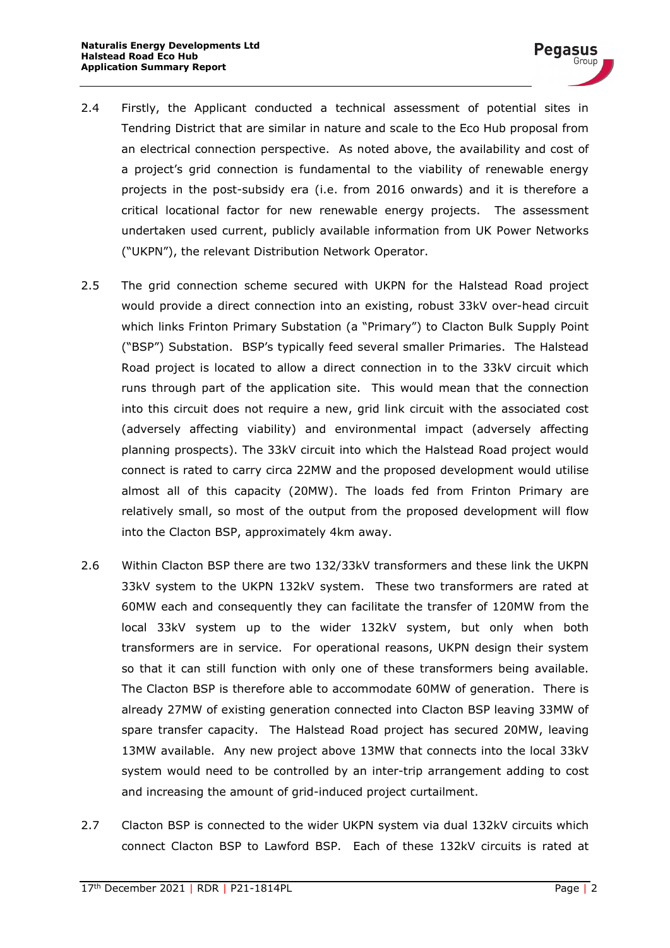- 2.4 Firstly, the Applicant conducted a technical assessment of potential sites in Tendring District that are similar in nature and scale to the Eco Hub proposal from an electrical connection perspective. As noted above, the availability and cost of a project's grid connection is fundamental to the viability of renewable energy projects in the post-subsidy era (i.e. from 2016 onwards) and it is therefore a critical locational factor for new renewable energy projects. The assessment undertaken used current, publicly available information from UK Power Networks ("UKPN"), the relevant Distribution Network Operator.
- 2.5 The grid connection scheme secured with UKPN for the Halstead Road project would provide a direct connection into an existing, robust 33kV over-head circuit which links Frinton Primary Substation (a "Primary") to Clacton Bulk Supply Point ("BSP") Substation. BSP's typically feed several smaller Primaries. The Halstead Road project is located to allow a direct connection in to the 33kV circuit which runs through part of the application site. This would mean that the connection into this circuit does not require a new, grid link circuit with the associated cost (adversely affecting viability) and environmental impact (adversely affecting planning prospects). The 33kV circuit into which the Halstead Road project would connect is rated to carry circa 22MW and the proposed development would utilise almost all of this capacity (20MW). The loads fed from Frinton Primary are relatively small, so most of the output from the proposed development will flow into the Clacton BSP, approximately 4km away.
- 2.6 Within Clacton BSP there are two 132/33kV transformers and these link the UKPN 33kV system to the UKPN 132kV system. These two transformers are rated at 60MW each and consequently they can facilitate the transfer of 120MW from the local 33kV system up to the wider 132kV system, but only when both transformers are in service. For operational reasons, UKPN design their system so that it can still function with only one of these transformers being available. The Clacton BSP is therefore able to accommodate 60MW of generation. There is already 27MW of existing generation connected into Clacton BSP leaving 33MW of spare transfer capacity. The Halstead Road project has secured 20MW, leaving 13MW available. Any new project above 13MW that connects into the local 33kV system would need to be controlled by an inter-trip arrangement adding to cost and increasing the amount of grid-induced project curtailment.
- 2.7 Clacton BSP is connected to the wider UKPN system via dual 132kV circuits which connect Clacton BSP to Lawford BSP. Each of these 132kV circuits is rated at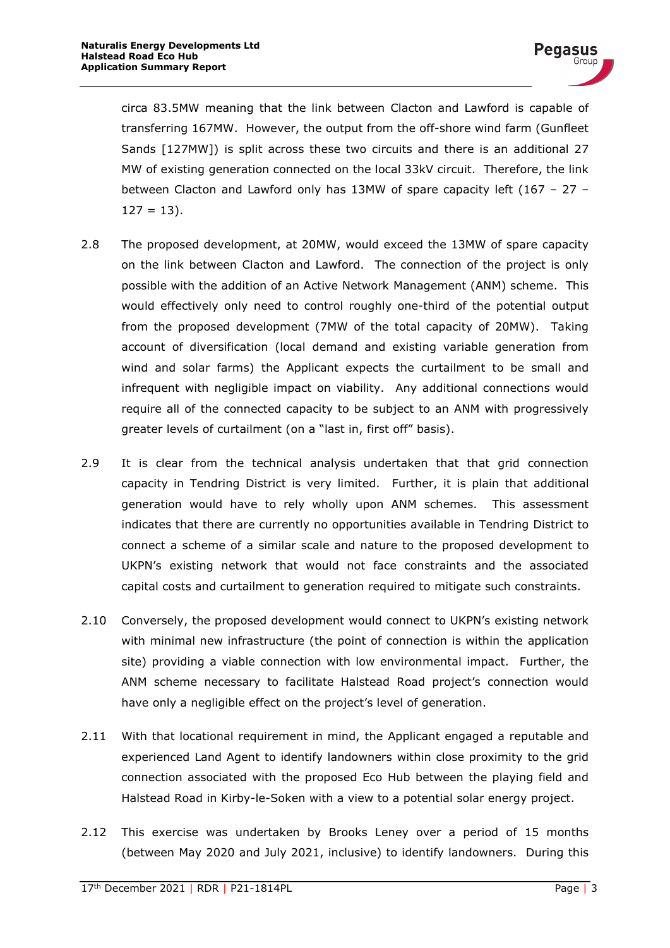circa 83.5MW meaning that the link between Clacton and Lawford is capable of transferring 167MW. However, the output from the off-shore wind farm (Gunfleet Sands [127MW]) is split across these two circuits and there is an additional 27 MW of existing generation connected on the local 33kV circuit. Therefore, the link between Clacton and Lawford only has 13MW of spare capacity left (167 – 27 –  $127 = 13$ ).

- 2.8 The proposed development, at 20MW, would exceed the 13MW of spare capacity on the link between Clacton and Lawford. The connection of the project is only possible with the addition of an Active Network Management (ANM) scheme. This would effectively only need to control roughly one-third of the potential output from the proposed development (7MW of the total capacity of 20MW). Taking account of diversification (local demand and existing variable generation from wind and solar farms) the Applicant expects the curtailment to be small and infrequent with negligible impact on viability. Any additional connections would require all of the connected capacity to be subject to an ANM with progressively greater levels of curtailment (on a "last in, first off" basis).
- 2.9 It is clear from the technical analysis undertaken that that grid connection capacity in Tendring District is very limited. Further, it is plain that additional generation would have to rely wholly upon ANM schemes. This assessment indicates that there are currently no opportunities available in Tendring District to connect a scheme of a similar scale and nature to the proposed development to UKPN's existing network that would not face constraints and the associated capital costs and curtailment to generation required to mitigate such constraints.
- 2.10 Conversely, the proposed development would connect to UKPN's existing network with minimal new infrastructure (the point of connection is within the application site) providing a viable connection with low environmental impact. Further, the ANM scheme necessary to facilitate Halstead Road project's connection would have only a negligible effect on the project's level of generation.
- 2.11 With that locational requirement in mind, the Applicant engaged a reputable and experienced Land Agent to identify landowners within close proximity to the grid connection associated with the proposed Eco Hub between the playing field and Halstead Road in Kirby-le-Soken with a view to a potential solar energy project.
- 2.12 This exercise was undertaken by Brooks Leney over a period of 15 months (between May 2020 and July 2021, inclusive) to identify landowners. During this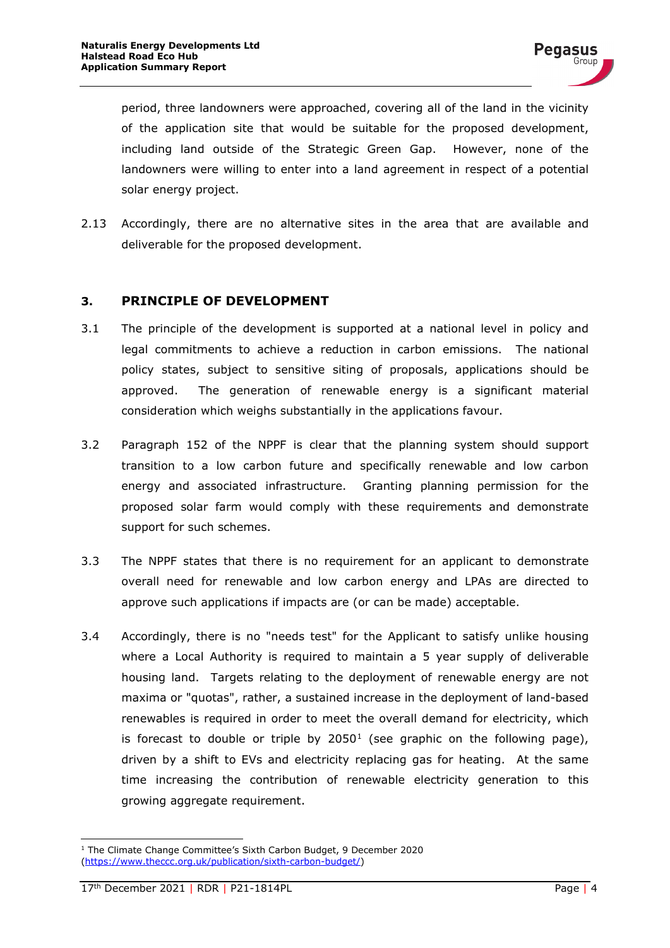period, three landowners were approached, covering all of the land in the vicinity of the application site that would be suitable for the proposed development, including land outside of the Strategic Green Gap. However, none of the landowners were willing to enter into a land agreement in respect of a potential solar energy project.

2.13 Accordingly, there are no alternative sites in the area that are available and deliverable for the proposed development.

#### <span id="page-5-0"></span>**3. PRINCIPLE OF DEVELOPMENT**

- 3.1 The principle of the development is supported at a national level in policy and legal commitments to achieve a reduction in carbon emissions. The national policy states, subject to sensitive siting of proposals, applications should be approved. The generation of renewable energy is a significant material consideration which weighs substantially in the applications favour.
- 3.2 Paragraph 152 of the NPPF is clear that the planning system should support transition to a low carbon future and specifically renewable and low carbon energy and associated infrastructure. Granting planning permission for the proposed solar farm would comply with these requirements and demonstrate support for such schemes.
- 3.3 The NPPF states that there is no requirement for an applicant to demonstrate overall need for renewable and low carbon energy and LPAs are directed to approve such applications if impacts are (or can be made) acceptable.
- 3.4 Accordingly, there is no "needs test" for the Applicant to satisfy unlike housing where a Local Authority is required to maintain a 5 year supply of deliverable housing land. Targets relating to the deployment of renewable energy are not maxima or "quotas", rather, a sustained increase in the deployment of land-based renewables is required in order to meet the overall demand for electricity, which is forecast to double or triple by  $2050<sup>1</sup>$  $2050<sup>1</sup>$  $2050<sup>1</sup>$  (see graphic on the following page), driven by a shift to EVs and electricity replacing gas for heating. At the same time increasing the contribution of renewable electricity generation to this growing aggregate requirement.

<span id="page-5-1"></span><sup>1</sup> The Climate Change Committee's Sixth Carbon Budget, 9 December 2020 [\(https://www.theccc.org.uk/publication/sixth-carbon-budget/\)](https://www.theccc.org.uk/publication/sixth-carbon-budget/)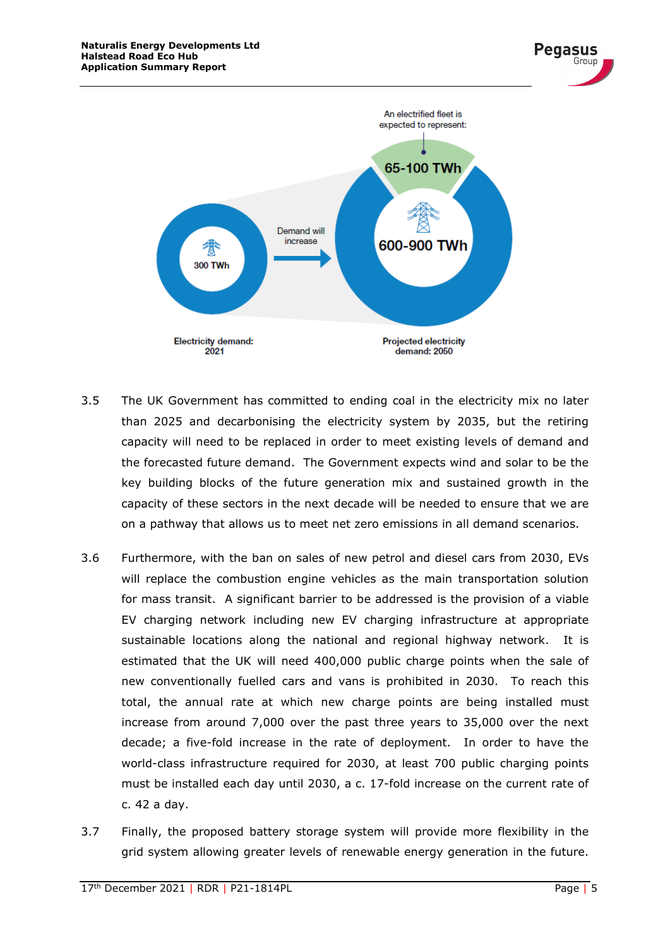

- 3.5 The UK Government has committed to ending coal in the electricity mix no later than 2025 and decarbonising the electricity system by 2035, but the retiring capacity will need to be replaced in order to meet existing levels of demand and the forecasted future demand. The Government expects wind and solar to be the key building blocks of the future generation mix and sustained growth in the capacity of these sectors in the next decade will be needed to ensure that we are on a pathway that allows us to meet net zero emissions in all demand scenarios.
- 3.6 Furthermore, with the ban on sales of new petrol and diesel cars from 2030, EVs will replace the combustion engine vehicles as the main transportation solution for mass transit. A significant barrier to be addressed is the provision of a viable EV charging network including new EV charging infrastructure at appropriate sustainable locations along the national and regional highway network. It is estimated that the UK will need 400,000 public charge points when the sale of new conventionally fuelled cars and vans is prohibited in 2030. To reach this total, the annual rate at which new charge points are being installed must increase from around 7,000 over the past three years to 35,000 over the next decade; a five-fold increase in the rate of deployment. In order to have the world-class infrastructure required for 2030, at least 700 public charging points must be installed each day until 2030, a c. 17-fold increase on the current rate of c. 42 a day.
- 3.7 Finally, the proposed battery storage system will provide more flexibility in the grid system allowing greater levels of renewable energy generation in the future.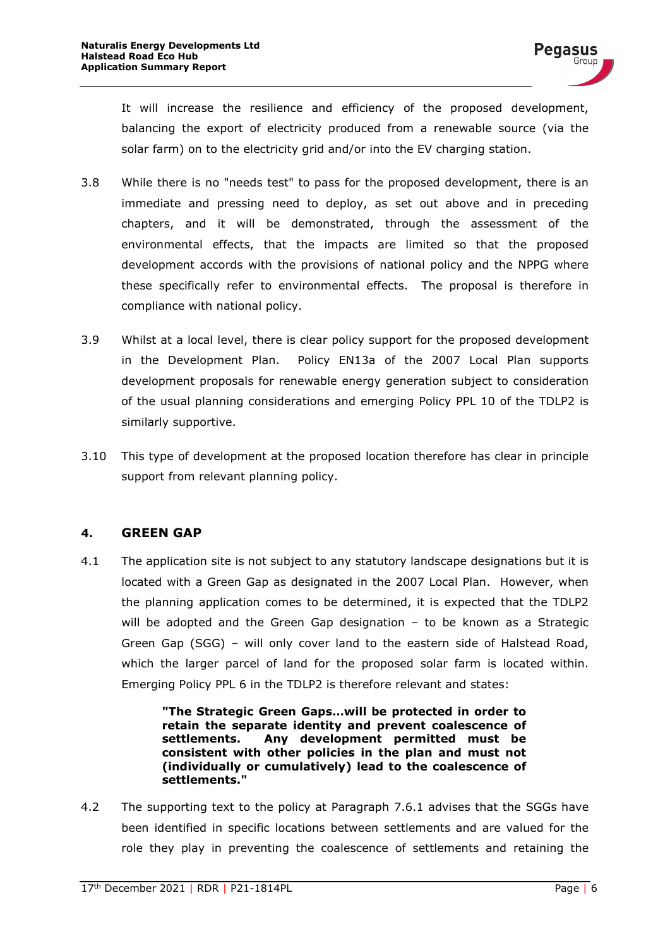It will increase the resilience and efficiency of the proposed development, balancing the export of electricity produced from a renewable source (via the solar farm) on to the electricity grid and/or into the EV charging station.

- 3.8 While there is no "needs test" to pass for the proposed development, there is an immediate and pressing need to deploy, as set out above and in preceding chapters, and it will be demonstrated, through the assessment of the environmental effects, that the impacts are limited so that the proposed development accords with the provisions of national policy and the NPPG where these specifically refer to environmental effects. The proposal is therefore in compliance with national policy.
- 3.9 Whilst at a local level, there is clear policy support for the proposed development in the Development Plan. Policy EN13a of the 2007 Local Plan supports development proposals for renewable energy generation subject to consideration of the usual planning considerations and emerging Policy PPL 10 of the TDLP2 is similarly supportive.
- 3.10 This type of development at the proposed location therefore has clear in principle support from relevant planning policy.

#### <span id="page-7-0"></span>**4. GREEN GAP**

4.1 The application site is not subject to any statutory landscape designations but it is located with a Green Gap as designated in the 2007 Local Plan. However, when the planning application comes to be determined, it is expected that the TDLP2 will be adopted and the Green Gap designation – to be known as a Strategic Green Gap (SGG) – will only cover land to the eastern side of Halstead Road, which the larger parcel of land for the proposed solar farm is located within. Emerging Policy PPL 6 in the TDLP2 is therefore relevant and states:

> **"The Strategic Green Gaps…will be protected in order to retain the separate identity and prevent coalescence of settlements. Any development permitted must be consistent with other policies in the plan and must not (individually or cumulatively) lead to the coalescence of settlements."**

4.2 The supporting text to the policy at Paragraph 7.6.1 advises that the SGGs have been identified in specific locations between settlements and are valued for the role they play in preventing the coalescence of settlements and retaining the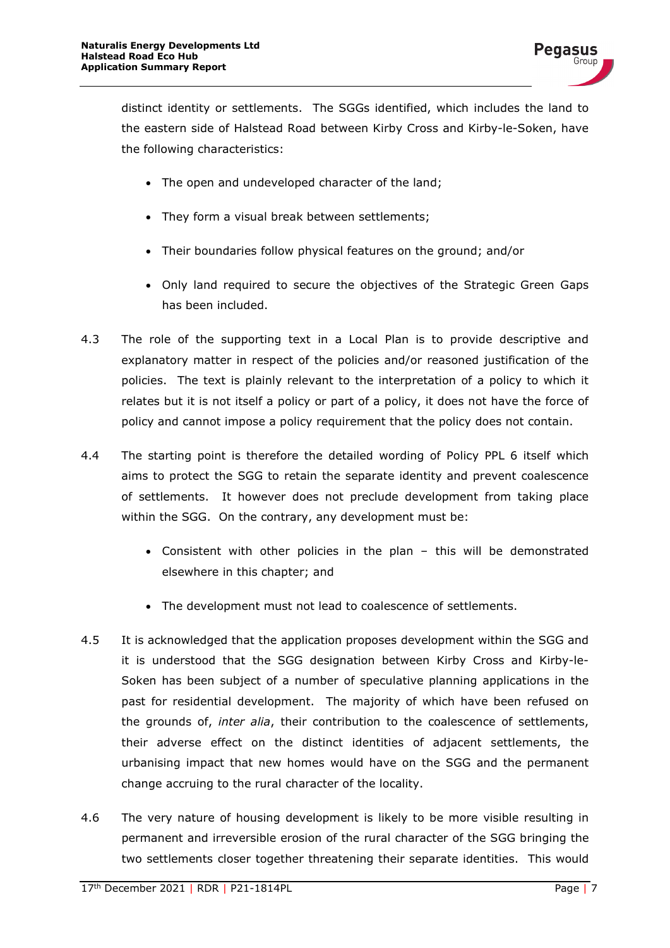

distinct identity or settlements. The SGGs identified, which includes the land to the eastern side of Halstead Road between Kirby Cross and Kirby-le-Soken, have the following characteristics:

- The open and undeveloped character of the land;
- They form a visual break between settlements;
- Their boundaries follow physical features on the ground; and/or
- Only land required to secure the objectives of the Strategic Green Gaps has been included.
- 4.3 The role of the supporting text in a Local Plan is to provide descriptive and explanatory matter in respect of the policies and/or reasoned justification of the policies. The text is plainly relevant to the interpretation of a policy to which it relates but it is not itself a policy or part of a policy, it does not have the force of policy and cannot impose a policy requirement that the policy does not contain.
- 4.4 The starting point is therefore the detailed wording of Policy PPL 6 itself which aims to protect the SGG to retain the separate identity and prevent coalescence of settlements. It however does not preclude development from taking place within the SGG. On the contrary, any development must be:
	- Consistent with other policies in the plan this will be demonstrated elsewhere in this chapter; and
	- The development must not lead to coalescence of settlements.
- 4.5 It is acknowledged that the application proposes development within the SGG and it is understood that the SGG designation between Kirby Cross and Kirby-le-Soken has been subject of a number of speculative planning applications in the past for residential development. The majority of which have been refused on the grounds of, *inter alia*, their contribution to the coalescence of settlements, their adverse effect on the distinct identities of adjacent settlements, the urbanising impact that new homes would have on the SGG and the permanent change accruing to the rural character of the locality.
- 4.6 The very nature of housing development is likely to be more visible resulting in permanent and irreversible erosion of the rural character of the SGG bringing the two settlements closer together threatening their separate identities. This would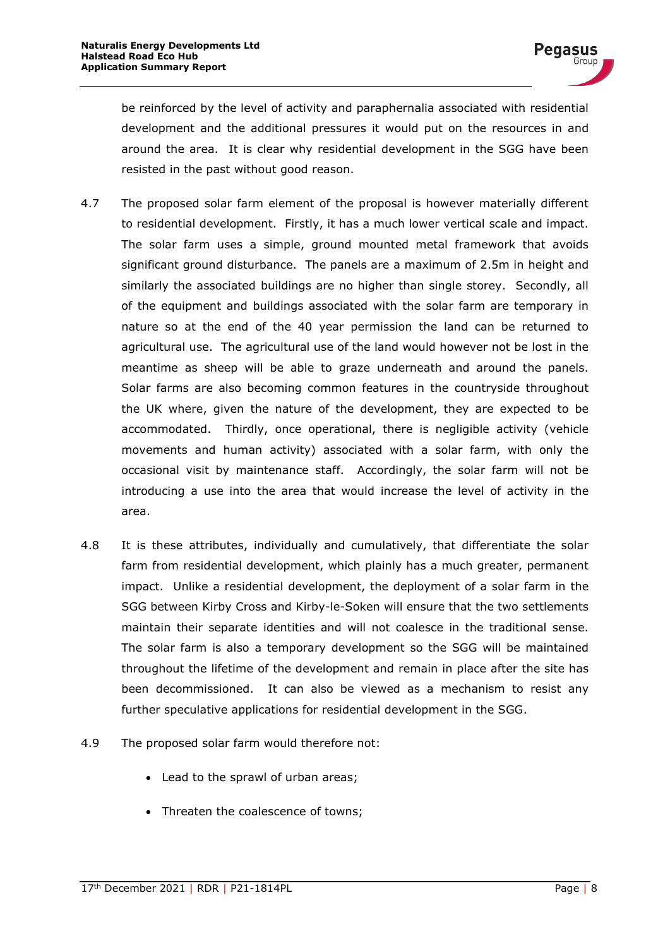be reinforced by the level of activity and paraphernalia associated with residential development and the additional pressures it would put on the resources in and around the area. It is clear why residential development in the SGG have been resisted in the past without good reason.

- 4.7 The proposed solar farm element of the proposal is however materially different to residential development. Firstly, it has a much lower vertical scale and impact. The solar farm uses a simple, ground mounted metal framework that avoids significant ground disturbance. The panels are a maximum of 2.5m in height and similarly the associated buildings are no higher than single storey. Secondly, all of the equipment and buildings associated with the solar farm are temporary in nature so at the end of the 40 year permission the land can be returned to agricultural use. The agricultural use of the land would however not be lost in the meantime as sheep will be able to graze underneath and around the panels. Solar farms are also becoming common features in the countryside throughout the UK where, given the nature of the development, they are expected to be accommodated. Thirdly, once operational, there is negligible activity (vehicle movements and human activity) associated with a solar farm, with only the occasional visit by maintenance staff. Accordingly, the solar farm will not be introducing a use into the area that would increase the level of activity in the area.
- 4.8 It is these attributes, individually and cumulatively, that differentiate the solar farm from residential development, which plainly has a much greater, permanent impact. Unlike a residential development, the deployment of a solar farm in the SGG between Kirby Cross and Kirby-le-Soken will ensure that the two settlements maintain their separate identities and will not coalesce in the traditional sense. The solar farm is also a temporary development so the SGG will be maintained throughout the lifetime of the development and remain in place after the site has been decommissioned. It can also be viewed as a mechanism to resist any further speculative applications for residential development in the SGG.
- 4.9 The proposed solar farm would therefore not:
	- Lead to the sprawl of urban areas;
	- Threaten the coalescence of towns;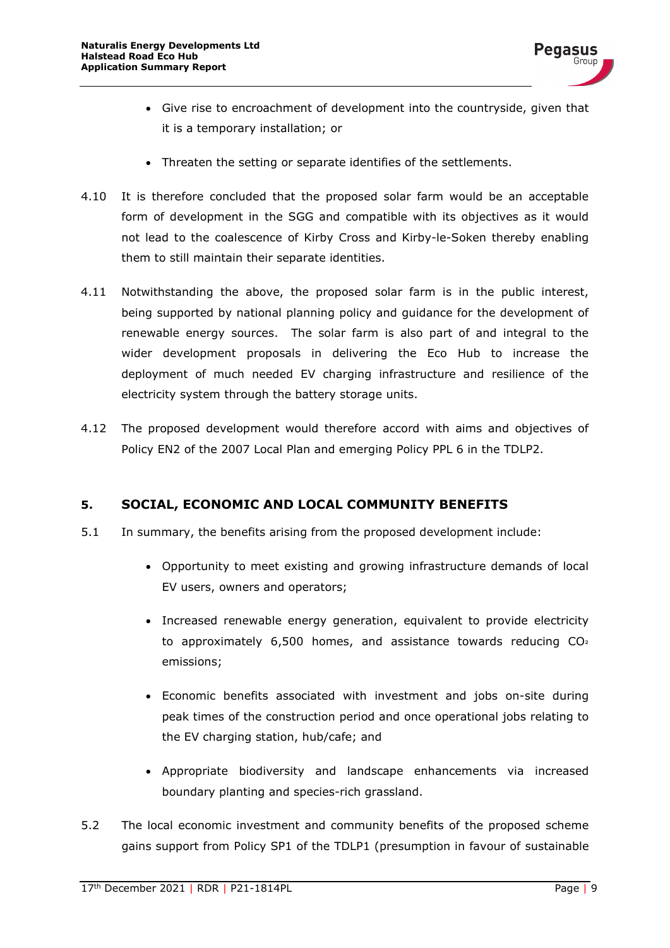

- Give rise to encroachment of development into the countryside, given that it is a temporary installation; or
- Threaten the setting or separate identifies of the settlements.
- 4.10 It is therefore concluded that the proposed solar farm would be an acceptable form of development in the SGG and compatible with its objectives as it would not lead to the coalescence of Kirby Cross and Kirby-le-Soken thereby enabling them to still maintain their separate identities.
- 4.11 Notwithstanding the above, the proposed solar farm is in the public interest, being supported by national planning policy and guidance for the development of renewable energy sources. The solar farm is also part of and integral to the wider development proposals in delivering the Eco Hub to increase the deployment of much needed EV charging infrastructure and resilience of the electricity system through the battery storage units.
- 4.12 The proposed development would therefore accord with aims and objectives of Policy EN2 of the 2007 Local Plan and emerging Policy PPL 6 in the TDLP2.

#### <span id="page-10-0"></span>**5. SOCIAL, ECONOMIC AND LOCAL COMMUNITY BENEFITS**

- 5.1 In summary, the benefits arising from the proposed development include:
	- Opportunity to meet existing and growing infrastructure demands of local EV users, owners and operators;
	- Increased renewable energy generation, equivalent to provide electricity to approximately 6,500 homes, and assistance towards reducing CO² emissions;
	- Economic benefits associated with investment and jobs on-site during peak times of the construction period and once operational jobs relating to the EV charging station, hub/cafe; and
	- Appropriate biodiversity and landscape enhancements via increased boundary planting and species-rich grassland.
- 5.2 The local economic investment and community benefits of the proposed scheme gains support from Policy SP1 of the TDLP1 (presumption in favour of sustainable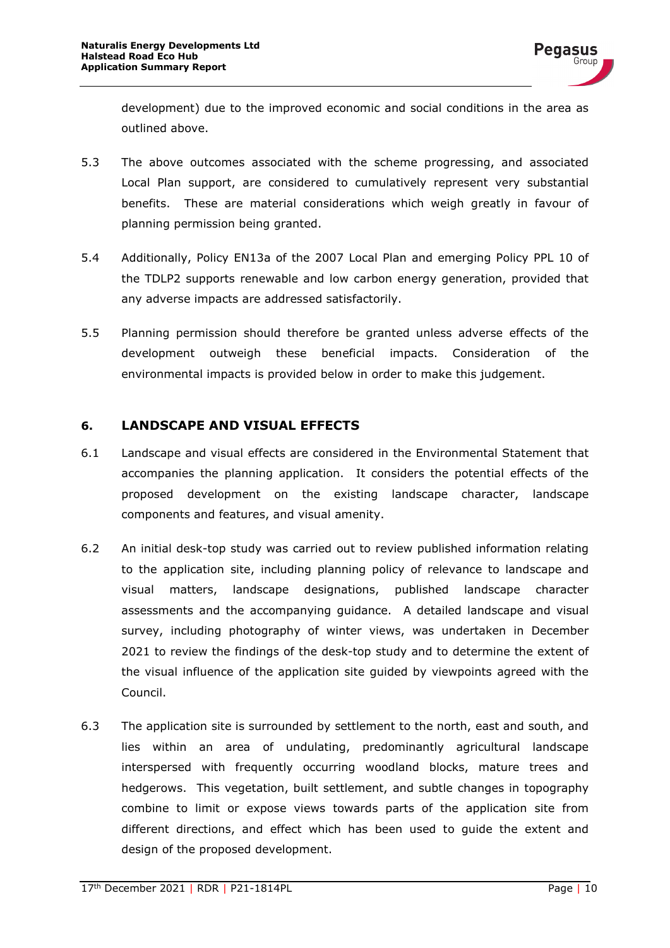development) due to the improved economic and social conditions in the area as outlined above.

- 5.3 The above outcomes associated with the scheme progressing, and associated Local Plan support, are considered to cumulatively represent very substantial benefits. These are material considerations which weigh greatly in favour of planning permission being granted.
- 5.4 Additionally, Policy EN13a of the 2007 Local Plan and emerging Policy PPL 10 of the TDLP2 supports renewable and low carbon energy generation, provided that any adverse impacts are addressed satisfactorily.
- 5.5 Planning permission should therefore be granted unless adverse effects of the development outweigh these beneficial impacts. Consideration of the environmental impacts is provided below in order to make this judgement.

#### <span id="page-11-0"></span>**6. LANDSCAPE AND VISUAL EFFECTS**

- 6.1 Landscape and visual effects are considered in the Environmental Statement that accompanies the planning application. It considers the potential effects of the proposed development on the existing landscape character, landscape components and features, and visual amenity.
- 6.2 An initial desk-top study was carried out to review published information relating to the application site, including planning policy of relevance to landscape and visual matters, landscape designations, published landscape character assessments and the accompanying guidance. A detailed landscape and visual survey, including photography of winter views, was undertaken in December 2021 to review the findings of the desk-top study and to determine the extent of the visual influence of the application site guided by viewpoints agreed with the Council.
- 6.3 The application site is surrounded by settlement to the north, east and south, and lies within an area of undulating, predominantly agricultural landscape interspersed with frequently occurring woodland blocks, mature trees and hedgerows. This vegetation, built settlement, and subtle changes in topography combine to limit or expose views towards parts of the application site from different directions, and effect which has been used to guide the extent and design of the proposed development.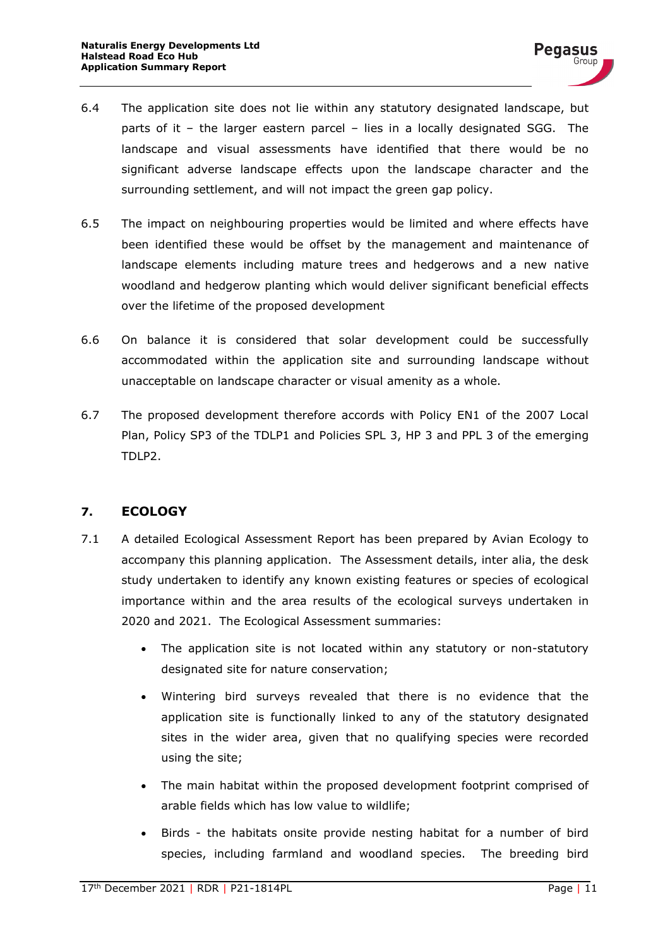- 6.4 The application site does not lie within any statutory designated landscape, but parts of it – the larger eastern parcel – lies in a locally designated SGG. The landscape and visual assessments have identified that there would be no significant adverse landscape effects upon the landscape character and the surrounding settlement, and will not impact the green gap policy.
- 6.5 The impact on neighbouring properties would be limited and where effects have been identified these would be offset by the management and maintenance of landscape elements including mature trees and hedgerows and a new native woodland and hedgerow planting which would deliver significant beneficial effects over the lifetime of the proposed development
- 6.6 On balance it is considered that solar development could be successfully accommodated within the application site and surrounding landscape without unacceptable on landscape character or visual amenity as a whole.
- 6.7 The proposed development therefore accords with Policy EN1 of the 2007 Local Plan, Policy SP3 of the TDLP1 and Policies SPL 3, HP 3 and PPL 3 of the emerging TDLP2.

### <span id="page-12-0"></span>**7. ECOLOGY**

- 7.1 A detailed Ecological Assessment Report has been prepared by Avian Ecology to accompany this planning application. The Assessment details, inter alia, the desk study undertaken to identify any known existing features or species of ecological importance within and the area results of the ecological surveys undertaken in 2020 and 2021. The Ecological Assessment summaries:
	- The application site is not located within any statutory or non-statutory designated site for nature conservation;
	- Wintering bird surveys revealed that there is no evidence that the application site is functionally linked to any of the statutory designated sites in the wider area, given that no qualifying species were recorded using the site;
	- The main habitat within the proposed development footprint comprised of arable fields which has low value to wildlife;
	- Birds the habitats onsite provide nesting habitat for a number of bird species, including farmland and woodland species. The breeding bird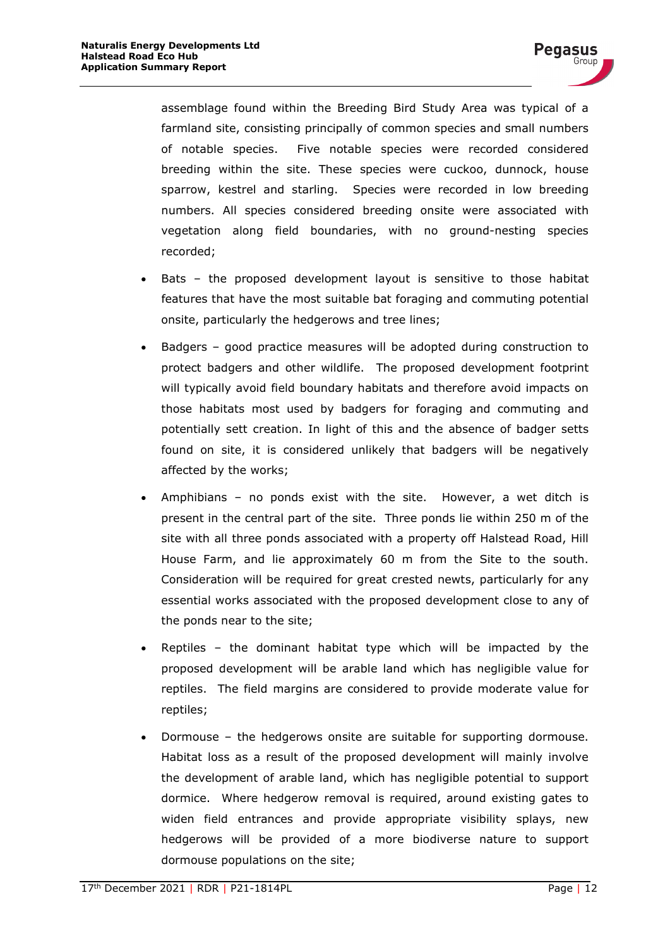assemblage found within the Breeding Bird Study Area was typical of a farmland site, consisting principally of common species and small numbers of notable species. Five notable species were recorded considered breeding within the site. These species were cuckoo, dunnock, house sparrow, kestrel and starling. Species were recorded in low breeding numbers. All species considered breeding onsite were associated with vegetation along field boundaries, with no ground-nesting species recorded;

- Bats the proposed development layout is sensitive to those habitat features that have the most suitable bat foraging and commuting potential onsite, particularly the hedgerows and tree lines;
- Badgers good practice measures will be adopted during construction to protect badgers and other wildlife. The proposed development footprint will typically avoid field boundary habitats and therefore avoid impacts on those habitats most used by badgers for foraging and commuting and potentially sett creation. In light of this and the absence of badger setts found on site, it is considered unlikely that badgers will be negatively affected by the works;
- Amphibians no ponds exist with the site. However, a wet ditch is present in the central part of the site. Three ponds lie within 250 m of the site with all three ponds associated with a property off Halstead Road, Hill House Farm, and lie approximately 60 m from the Site to the south. Consideration will be required for great crested newts, particularly for any essential works associated with the proposed development close to any of the ponds near to the site;
- Reptiles the dominant habitat type which will be impacted by the proposed development will be arable land which has negligible value for reptiles. The field margins are considered to provide moderate value for reptiles;
- Dormouse the hedgerows onsite are suitable for supporting dormouse. Habitat loss as a result of the proposed development will mainly involve the development of arable land, which has negligible potential to support dormice. Where hedgerow removal is required, around existing gates to widen field entrances and provide appropriate visibility splays, new hedgerows will be provided of a more biodiverse nature to support dormouse populations on the site;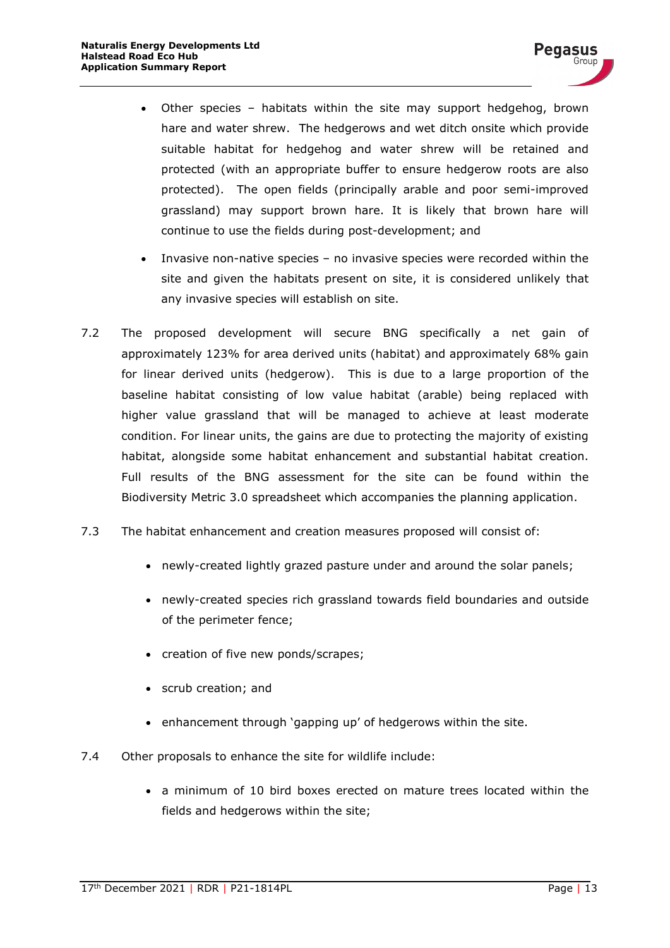- Other species habitats within the site may support hedgehog, brown hare and water shrew. The hedgerows and wet ditch onsite which provide suitable habitat for hedgehog and water shrew will be retained and protected (with an appropriate buffer to ensure hedgerow roots are also protected). The open fields (principally arable and poor semi-improved grassland) may support brown hare. It is likely that brown hare will continue to use the fields during post-development; and
- Invasive non-native species no invasive species were recorded within the site and given the habitats present on site, it is considered unlikely that any invasive species will establish on site.
- 7.2 The proposed development will secure BNG specifically a net gain of approximately 123% for area derived units (habitat) and approximately 68% gain for linear derived units (hedgerow). This is due to a large proportion of the baseline habitat consisting of low value habitat (arable) being replaced with higher value grassland that will be managed to achieve at least moderate condition. For linear units, the gains are due to protecting the majority of existing habitat, alongside some habitat enhancement and substantial habitat creation. Full results of the BNG assessment for the site can be found within the Biodiversity Metric 3.0 spreadsheet which accompanies the planning application.
- 7.3 The habitat enhancement and creation measures proposed will consist of:
	- newly-created lightly grazed pasture under and around the solar panels;
	- newly-created species rich grassland towards field boundaries and outside of the perimeter fence;
	- creation of five new ponds/scrapes;
	- scrub creation; and
	- enhancement through 'gapping up' of hedgerows within the site.
- 7.4 Other proposals to enhance the site for wildlife include:
	- a minimum of 10 bird boxes erected on mature trees located within the fields and hedgerows within the site;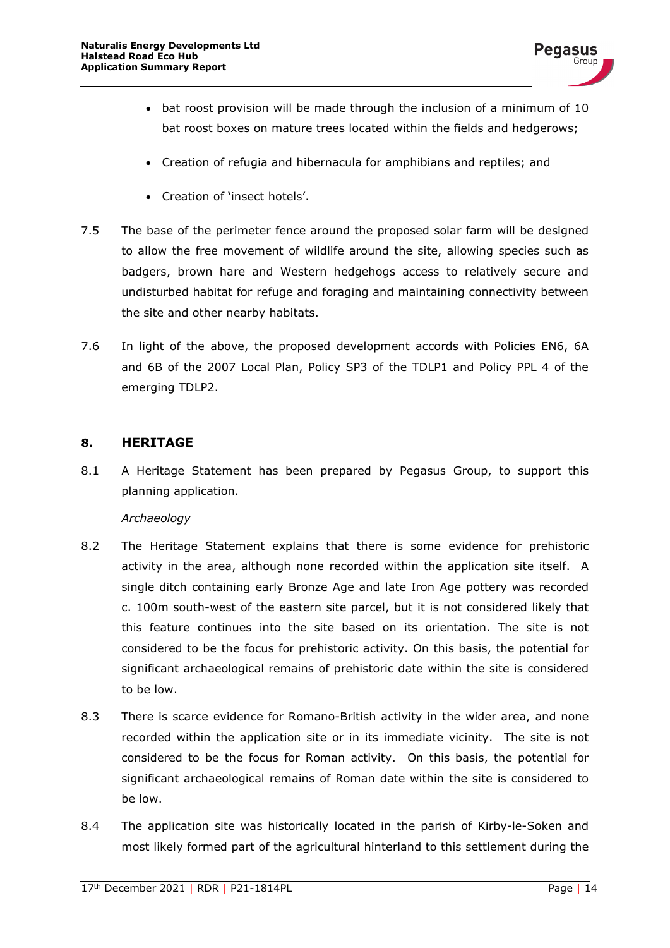- bat roost provision will be made through the inclusion of a minimum of 10 bat roost boxes on mature trees located within the fields and hedgerows;
- Creation of refugia and hibernacula for amphibians and reptiles; and
- Creation of 'insect hotels'.
- 7.5 The base of the perimeter fence around the proposed solar farm will be designed to allow the free movement of wildlife around the site, allowing species such as badgers, brown hare and Western hedgehogs access to relatively secure and undisturbed habitat for refuge and foraging and maintaining connectivity between the site and other nearby habitats.
- 7.6 In light of the above, the proposed development accords with Policies EN6, 6A and 6B of the 2007 Local Plan, Policy SP3 of the TDLP1 and Policy PPL 4 of the emerging TDLP2.

#### <span id="page-15-0"></span>**8. HERITAGE**

8.1 A Heritage Statement has been prepared by Pegasus Group, to support this planning application.

#### *Archaeology*

- 8.2 The Heritage Statement explains that there is some evidence for prehistoric activity in the area, although none recorded within the application site itself. A single ditch containing early Bronze Age and late Iron Age pottery was recorded c. 100m south-west of the eastern site parcel, but it is not considered likely that this feature continues into the site based on its orientation. The site is not considered to be the focus for prehistoric activity. On this basis, the potential for significant archaeological remains of prehistoric date within the site is considered to be low.
- 8.3 There is scarce evidence for Romano-British activity in the wider area, and none recorded within the application site or in its immediate vicinity. The site is not considered to be the focus for Roman activity. On this basis, the potential for significant archaeological remains of Roman date within the site is considered to be low.
- 8.4 The application site was historically located in the parish of Kirby-le-Soken and most likely formed part of the agricultural hinterland to this settlement during the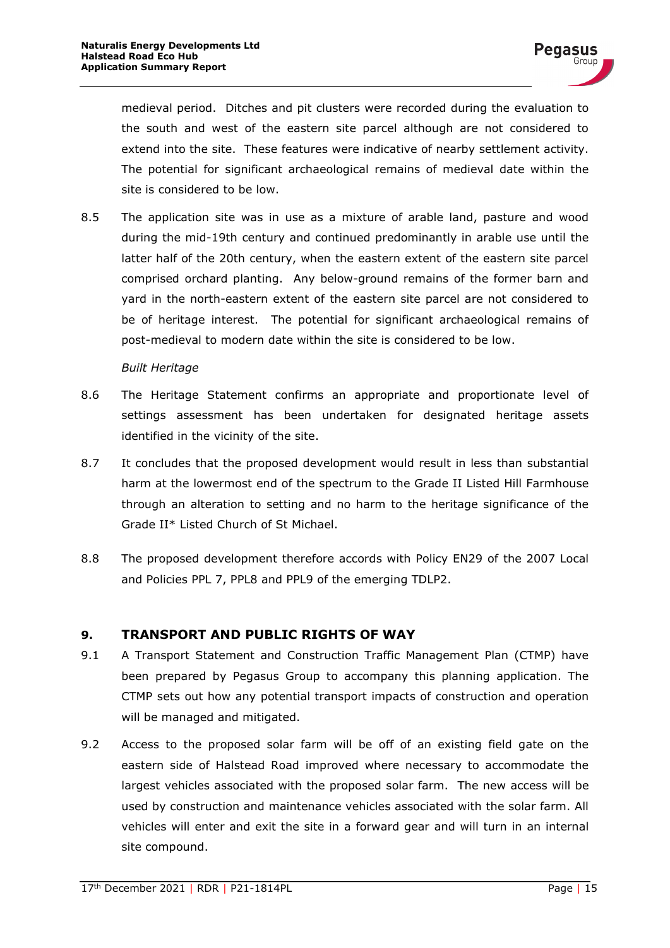medieval period. Ditches and pit clusters were recorded during the evaluation to the south and west of the eastern site parcel although are not considered to extend into the site. These features were indicative of nearby settlement activity. The potential for significant archaeological remains of medieval date within the site is considered to be low.

8.5 The application site was in use as a mixture of arable land, pasture and wood during the mid-19th century and continued predominantly in arable use until the latter half of the 20th century, when the eastern extent of the eastern site parcel comprised orchard planting. Any below-ground remains of the former barn and yard in the north-eastern extent of the eastern site parcel are not considered to be of heritage interest. The potential for significant archaeological remains of post-medieval to modern date within the site is considered to be low.

#### *Built Heritage*

- 8.6 The Heritage Statement confirms an appropriate and proportionate level of settings assessment has been undertaken for designated heritage assets identified in the vicinity of the site.
- 8.7 It concludes that the proposed development would result in less than substantial harm at the lowermost end of the spectrum to the Grade II Listed Hill Farmhouse through an alteration to setting and no harm to the heritage significance of the Grade II\* Listed Church of St Michael.
- 8.8 The proposed development therefore accords with Policy EN29 of the 2007 Local and Policies PPL 7, PPL8 and PPL9 of the emerging TDLP2.

#### <span id="page-16-0"></span>**9. TRANSPORT AND PUBLIC RIGHTS OF WAY**

- 9.1 A Transport Statement and Construction Traffic Management Plan (CTMP) have been prepared by Pegasus Group to accompany this planning application. The CTMP sets out how any potential transport impacts of construction and operation will be managed and mitigated.
- 9.2 Access to the proposed solar farm will be off of an existing field gate on the eastern side of Halstead Road improved where necessary to accommodate the largest vehicles associated with the proposed solar farm. The new access will be used by construction and maintenance vehicles associated with the solar farm. All vehicles will enter and exit the site in a forward gear and will turn in an internal site compound.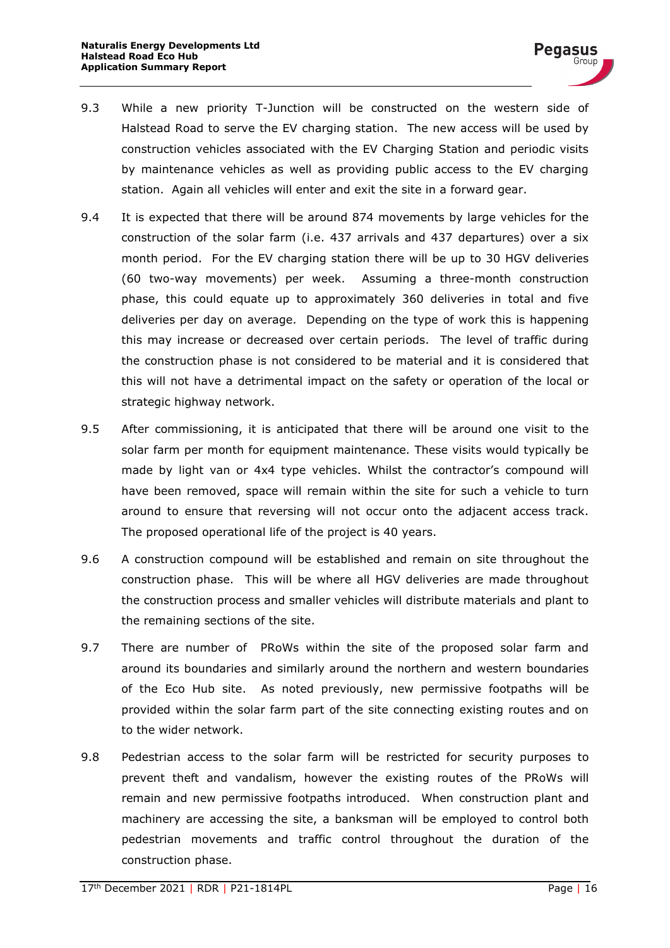- 9.3 While a new priority T-Junction will be constructed on the western side of Halstead Road to serve the EV charging station. The new access will be used by construction vehicles associated with the EV Charging Station and periodic visits by maintenance vehicles as well as providing public access to the EV charging station. Again all vehicles will enter and exit the site in a forward gear.
- 9.4 It is expected that there will be around 874 movements by large vehicles for the construction of the solar farm (i.e. 437 arrivals and 437 departures) over a six month period. For the EV charging station there will be up to 30 HGV deliveries (60 two-way movements) per week. Assuming a three-month construction phase, this could equate up to approximately 360 deliveries in total and five deliveries per day on average. Depending on the type of work this is happening this may increase or decreased over certain periods. The level of traffic during the construction phase is not considered to be material and it is considered that this will not have a detrimental impact on the safety or operation of the local or strategic highway network.
- 9.5 After commissioning, it is anticipated that there will be around one visit to the solar farm per month for equipment maintenance. These visits would typically be made by light van or 4x4 type vehicles. Whilst the contractor's compound will have been removed, space will remain within the site for such a vehicle to turn around to ensure that reversing will not occur onto the adjacent access track. The proposed operational life of the project is 40 years.
- 9.6 A construction compound will be established and remain on site throughout the construction phase. This will be where all HGV deliveries are made throughout the construction process and smaller vehicles will distribute materials and plant to the remaining sections of the site.
- 9.7 There are number of PRoWs within the site of the proposed solar farm and around its boundaries and similarly around the northern and western boundaries of the Eco Hub site. As noted previously, new permissive footpaths will be provided within the solar farm part of the site connecting existing routes and on to the wider network.
- 9.8 Pedestrian access to the solar farm will be restricted for security purposes to prevent theft and vandalism, however the existing routes of the PRoWs will remain and new permissive footpaths introduced. When construction plant and machinery are accessing the site, a banksman will be employed to control both pedestrian movements and traffic control throughout the duration of the construction phase.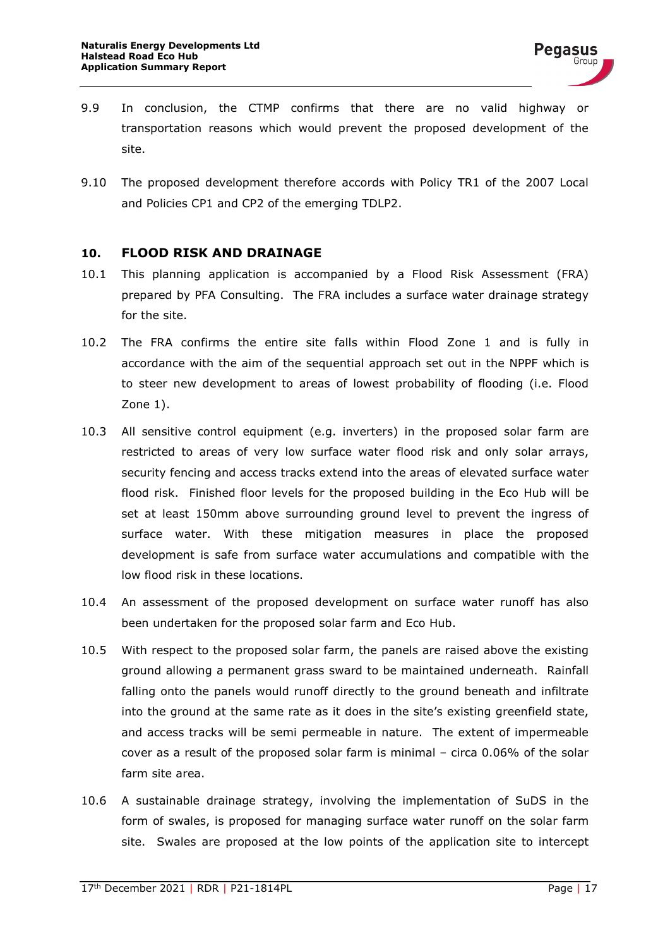- 9.9 In conclusion, the CTMP confirms that there are no valid highway or transportation reasons which would prevent the proposed development of the site.
- 9.10 The proposed development therefore accords with Policy TR1 of the 2007 Local and Policies CP1 and CP2 of the emerging TDLP2.

#### <span id="page-18-0"></span>**10. FLOOD RISK AND DRAINAGE**

- 10.1 This planning application is accompanied by a Flood Risk Assessment (FRA) prepared by PFA Consulting. The FRA includes a surface water drainage strategy for the site.
- 10.2 The FRA confirms the entire site falls within Flood Zone 1 and is fully in accordance with the aim of the sequential approach set out in the NPPF which is to steer new development to areas of lowest probability of flooding (i.e. Flood Zone 1).
- 10.3 All sensitive control equipment (e.g. inverters) in the proposed solar farm are restricted to areas of very low surface water flood risk and only solar arrays, security fencing and access tracks extend into the areas of elevated surface water flood risk. Finished floor levels for the proposed building in the Eco Hub will be set at least 150mm above surrounding ground level to prevent the ingress of surface water. With these mitigation measures in place the proposed development is safe from surface water accumulations and compatible with the low flood risk in these locations.
- 10.4 An assessment of the proposed development on surface water runoff has also been undertaken for the proposed solar farm and Eco Hub.
- 10.5 With respect to the proposed solar farm, the panels are raised above the existing ground allowing a permanent grass sward to be maintained underneath. Rainfall falling onto the panels would runoff directly to the ground beneath and infiltrate into the ground at the same rate as it does in the site's existing greenfield state, and access tracks will be semi permeable in nature. The extent of impermeable cover as a result of the proposed solar farm is minimal – circa 0.06% of the solar farm site area.
- 10.6 A sustainable drainage strategy, involving the implementation of SuDS in the form of swales, is proposed for managing surface water runoff on the solar farm site. Swales are proposed at the low points of the application site to intercept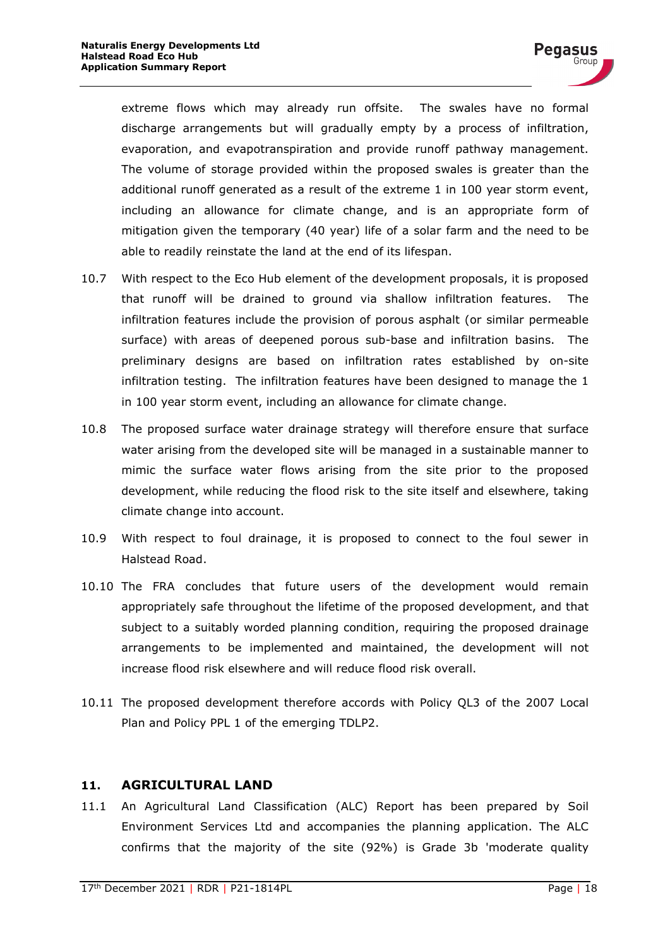extreme flows which may already run offsite. The swales have no formal discharge arrangements but will gradually empty by a process of infiltration, evaporation, and evapotranspiration and provide runoff pathway management. The volume of storage provided within the proposed swales is greater than the additional runoff generated as a result of the extreme 1 in 100 year storm event, including an allowance for climate change, and is an appropriate form of mitigation given the temporary (40 year) life of a solar farm and the need to be able to readily reinstate the land at the end of its lifespan.

- 10.7 With respect to the Eco Hub element of the development proposals, it is proposed that runoff will be drained to ground via shallow infiltration features. The infiltration features include the provision of porous asphalt (or similar permeable surface) with areas of deepened porous sub-base and infiltration basins. The preliminary designs are based on infiltration rates established by on-site infiltration testing. The infiltration features have been designed to manage the 1 in 100 year storm event, including an allowance for climate change.
- 10.8 The proposed surface water drainage strategy will therefore ensure that surface water arising from the developed site will be managed in a sustainable manner to mimic the surface water flows arising from the site prior to the proposed development, while reducing the flood risk to the site itself and elsewhere, taking climate change into account.
- 10.9 With respect to foul drainage, it is proposed to connect to the foul sewer in Halstead Road.
- 10.10 The FRA concludes that future users of the development would remain appropriately safe throughout the lifetime of the proposed development, and that subject to a suitably worded planning condition, requiring the proposed drainage arrangements to be implemented and maintained, the development will not increase flood risk elsewhere and will reduce flood risk overall.
- 10.11 The proposed development therefore accords with Policy QL3 of the 2007 Local Plan and Policy PPL 1 of the emerging TDLP2.

#### <span id="page-19-0"></span>**11. AGRICULTURAL LAND**

11.1 An Agricultural Land Classification (ALC) Report has been prepared by Soil Environment Services Ltd and accompanies the planning application. The ALC confirms that the majority of the site (92%) is Grade 3b 'moderate quality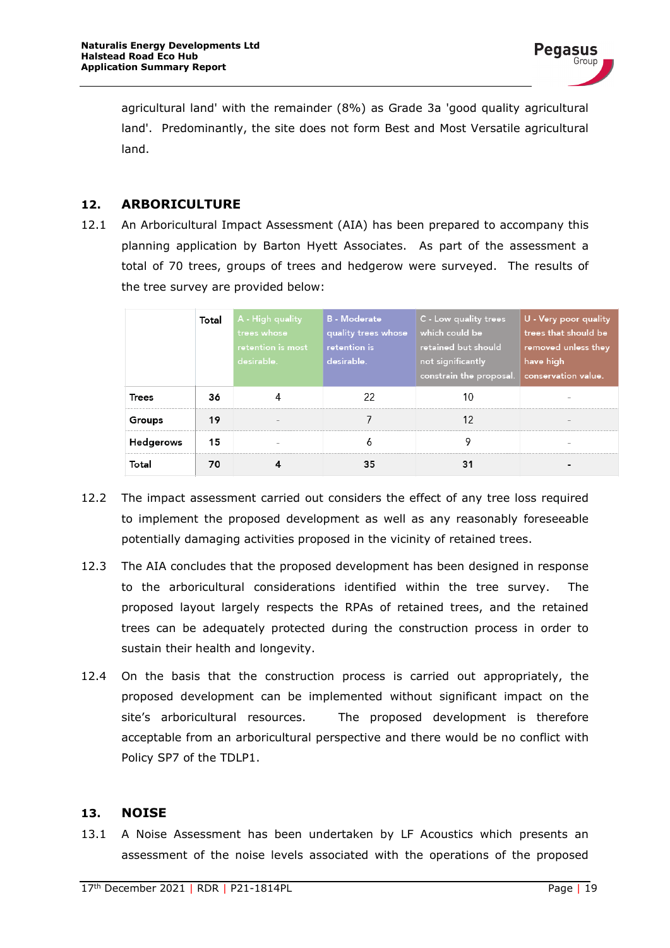

agricultural land' with the remainder (8%) as Grade 3a 'good quality agricultural land'. Predominantly, the site does not form Best and Most Versatile agricultural land.

#### <span id="page-20-0"></span>**12. ARBORICULTURE**

12.1 An Arboricultural Impact Assessment (AIA) has been prepared to accompany this planning application by Barton Hyett Associates. As part of the assessment a total of 70 trees, groups of trees and hedgerow were surveyed. The results of the tree survey are provided below:

|                  | Total | A - High quality<br>trees whose<br>retention is most<br>desirable. | <b>B</b> - Moderate<br>quality trees whose<br>retention is<br>desirable. | C - Low quality trees<br>which could be<br>retained but should<br>not significantly<br>constrain the proposal. | U - Very poor quality<br>trees that should be<br>removed unless they<br>have high<br>conservation value. |
|------------------|-------|--------------------------------------------------------------------|--------------------------------------------------------------------------|----------------------------------------------------------------------------------------------------------------|----------------------------------------------------------------------------------------------------------|
| <b>Trees</b>     | 36    |                                                                    | 22                                                                       | 10                                                                                                             |                                                                                                          |
| Groups           | 19    |                                                                    |                                                                          | 12                                                                                                             |                                                                                                          |
| <b>Hedgerows</b> | 15    |                                                                    |                                                                          |                                                                                                                |                                                                                                          |
| Total            | 70    |                                                                    | 35                                                                       |                                                                                                                |                                                                                                          |

- 12.2 The impact assessment carried out considers the effect of any tree loss required to implement the proposed development as well as any reasonably foreseeable potentially damaging activities proposed in the vicinity of retained trees.
- 12.3 The AIA concludes that the proposed development has been designed in response to the arboricultural considerations identified within the tree survey. The proposed layout largely respects the RPAs of retained trees, and the retained trees can be adequately protected during the construction process in order to sustain their health and longevity.
- 12.4 On the basis that the construction process is carried out appropriately, the proposed development can be implemented without significant impact on the site's arboricultural resources. The proposed development is therefore acceptable from an arboricultural perspective and there would be no conflict with Policy SP7 of the TDLP1.

#### <span id="page-20-1"></span>**13. NOISE**

13.1 A Noise Assessment has been undertaken by LF Acoustics which presents an assessment of the noise levels associated with the operations of the proposed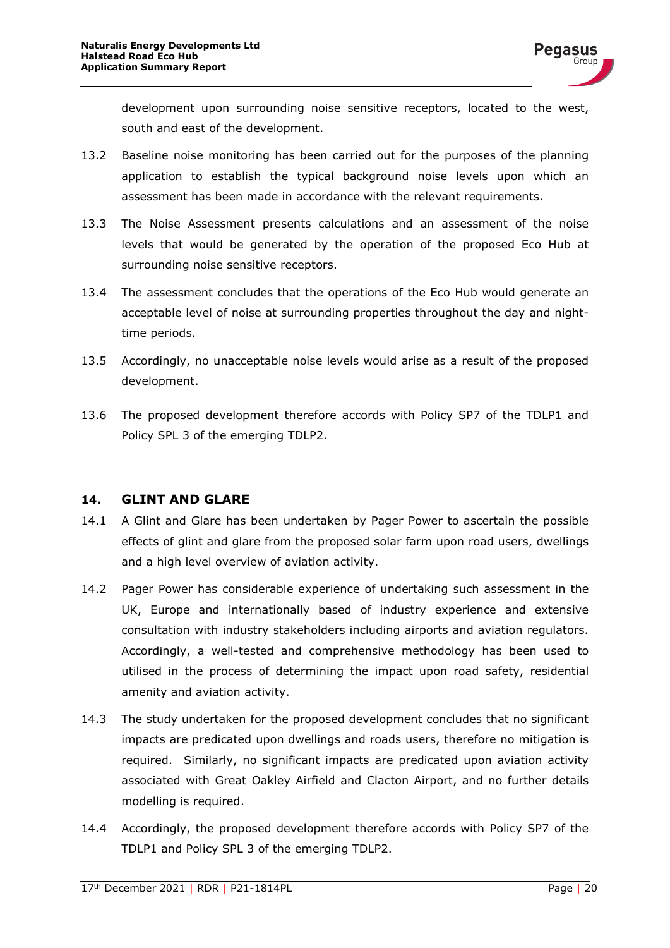development upon surrounding noise sensitive receptors, located to the west, south and east of the development.

- 13.2 Baseline noise monitoring has been carried out for the purposes of the planning application to establish the typical background noise levels upon which an assessment has been made in accordance with the relevant requirements.
- 13.3 The Noise Assessment presents calculations and an assessment of the noise levels that would be generated by the operation of the proposed Eco Hub at surrounding noise sensitive receptors.
- 13.4 The assessment concludes that the operations of the Eco Hub would generate an acceptable level of noise at surrounding properties throughout the day and nighttime periods.
- 13.5 Accordingly, no unacceptable noise levels would arise as a result of the proposed development.
- 13.6 The proposed development therefore accords with Policy SP7 of the TDLP1 and Policy SPL 3 of the emerging TDLP2.

#### <span id="page-21-0"></span>**14. GLINT AND GLARE**

- 14.1 A Glint and Glare has been undertaken by Pager Power to ascertain the possible effects of glint and glare from the proposed solar farm upon road users, dwellings and a high level overview of aviation activity.
- 14.2 Pager Power has considerable experience of undertaking such assessment in the UK, Europe and internationally based of industry experience and extensive consultation with industry stakeholders including airports and aviation regulators. Accordingly, a well-tested and comprehensive methodology has been used to utilised in the process of determining the impact upon road safety, residential amenity and aviation activity.
- 14.3 The study undertaken for the proposed development concludes that no significant impacts are predicated upon dwellings and roads users, therefore no mitigation is required. Similarly, no significant impacts are predicated upon aviation activity associated with Great Oakley Airfield and Clacton Airport, and no further details modelling is required.
- 14.4 Accordingly, the proposed development therefore accords with Policy SP7 of the TDLP1 and Policy SPL 3 of the emerging TDLP2.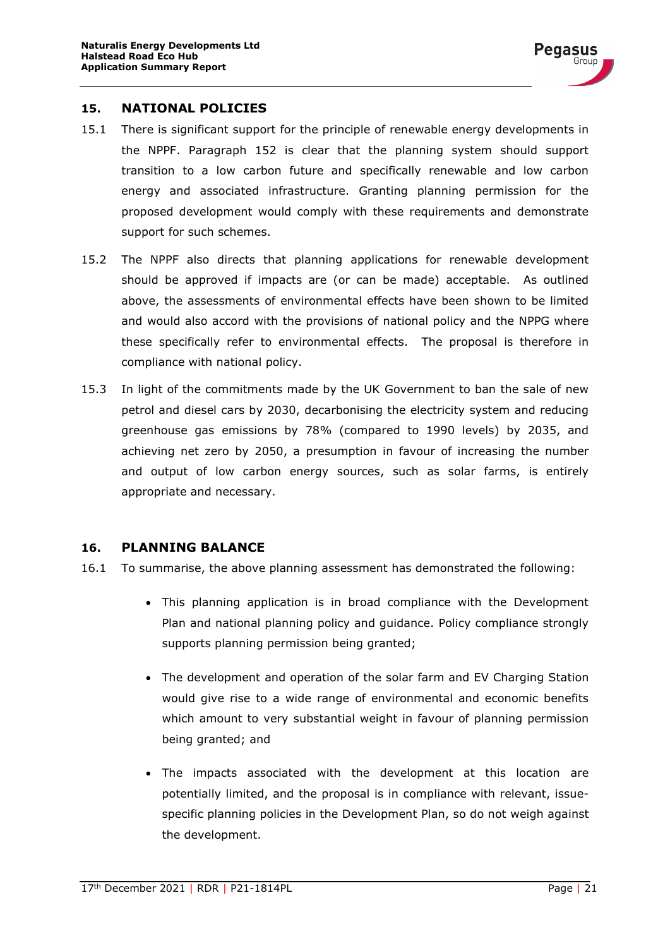

#### <span id="page-22-0"></span>**15. NATIONAL POLICIES**

- 15.1 There is significant support for the principle of renewable energy developments in the NPPF. Paragraph 152 is clear that the planning system should support transition to a low carbon future and specifically renewable and low carbon energy and associated infrastructure. Granting planning permission for the proposed development would comply with these requirements and demonstrate support for such schemes.
- 15.2 The NPPF also directs that planning applications for renewable development should be approved if impacts are (or can be made) acceptable. As outlined above, the assessments of environmental effects have been shown to be limited and would also accord with the provisions of national policy and the NPPG where these specifically refer to environmental effects. The proposal is therefore in compliance with national policy.
- 15.3 In light of the commitments made by the UK Government to ban the sale of new petrol and diesel cars by 2030, decarbonising the electricity system and reducing greenhouse gas emissions by 78% (compared to 1990 levels) by 2035, and achieving net zero by 2050, a presumption in favour of increasing the number and output of low carbon energy sources, such as solar farms, is entirely appropriate and necessary.

#### <span id="page-22-1"></span>**16. PLANNING BALANCE**

- 16.1 To summarise, the above planning assessment has demonstrated the following:
	- This planning application is in broad compliance with the Development Plan and national planning policy and guidance. Policy compliance strongly supports planning permission being granted;
	- The development and operation of the solar farm and EV Charging Station would give rise to a wide range of environmental and economic benefits which amount to very substantial weight in favour of planning permission being granted; and
	- The impacts associated with the development at this location are potentially limited, and the proposal is in compliance with relevant, issuespecific planning policies in the Development Plan, so do not weigh against the development.